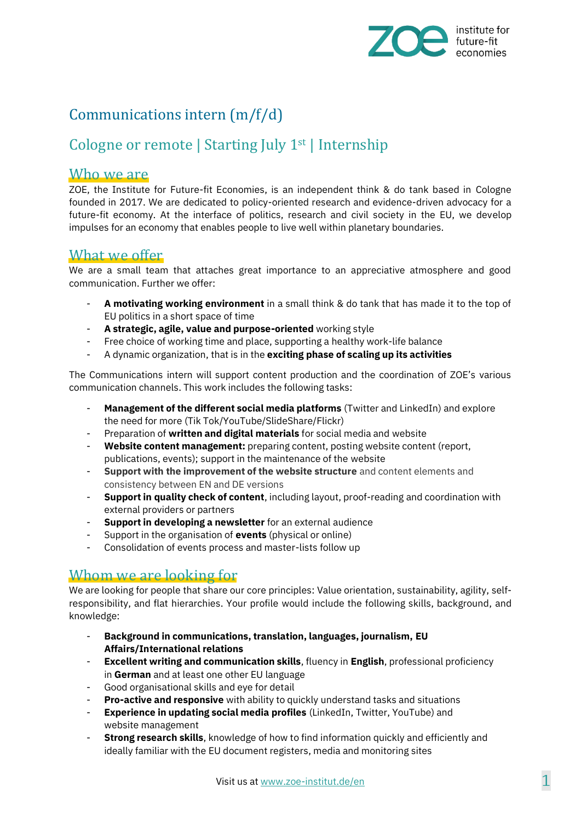

# Communications intern (m/f/d)

## Cologne or remote | Starting July 1st | Internship

#### Who we are

ZOE, the Institute for Future-fit Economies, is an independent think & do tank based in Cologne founded in 2017. We are dedicated to policy-oriented research and evidence-driven advocacy for a future-fit economy. At the interface of politics, research and civil society in the EU, we develop impulses for an economy that enables people to live well within planetary boundaries.

#### What we offer

We are a small team that attaches great importance to an appreciative atmosphere and good communication. Further we offer:

- **A motivating working environment** in a small think & do tank that has made it to the top of EU politics in a short space of time
- **A strategic, agile, value and purpose-oriented** working style
- Free choice of working time and place, supporting a healthy work-life balance
- A dynamic organization, that is in the **exciting phase of scaling up its activities**

The Communications intern will support content production and the coordination of ZOE's various communication channels. This work includes the following tasks:

- **Management of the different social media platforms** (Twitter and LinkedIn) and explore the need for more (Tik Tok/YouTube/SlideShare/Flickr)
- Preparation of **written and digital materials** for social media and website
- **Website content management:** preparing content, posting website content (report, publications, events); support in the maintenance of the website
- **Support with the improvement of the website structure** and content elements and consistency between EN and DE versions
- **Support in quality check of content**, including layout, proof-reading and coordination with external providers or partners
- **Support in developing a newsletter** for an external audience
- Support in the organisation of **events** (physical or online)
- Consolidation of events process and master-lists follow up

### Whom we are looking for

We are looking for people that share our core principles: Value orientation, sustainability, agility, selfresponsibility, and flat hierarchies. Your profile would include the following skills, background, and knowledge:

- **Background in communications, translation, languages, journalism, EU Affairs/International relations**
- **Excellent writing and communication skills**, fluency in **English**, professional proficiency in **German** and at least one other EU language
- Good organisational skills and eye for detail
- **Pro-active and responsive** with ability to quickly understand tasks and situations
- **Experience in updating social media profiles** (LinkedIn, Twitter, YouTube) and website management
- **Strong research skills**, knowledge of how to find information quickly and efficiently and ideally familiar with the EU document registers, media and monitoring sites